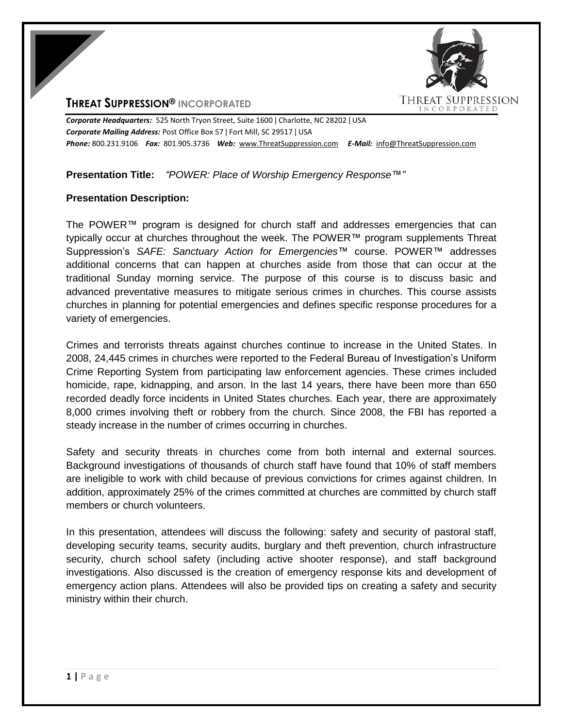# **THREAT SUPPRESSION® INCORPORATED**



*Corporate Headquarters:* 525 North Tryon Street, Suite 1600 ǀ Charlotte, NC 28202 ǀ USA *Corporate Mailing Address:* Post Office Box 57 ǀ Fort Mill, SC 29517 ǀ USA *Phone:* 800.231.9106 *Fax:* 801.905.3736 *Web:* www.ThreatSuppression.com *E-Mail:* info@ThreatSuppression.com

## **Presentation Title:** *"POWER: Place of Worship Emergency Response™"*

#### **Presentation Description:**

The POWER™ program is designed for church staff and addresses emergencies that can typically occur at churches throughout the week. The POWER™ program supplements Threat Suppression's *SAFE: Sanctuary Action for Emergencies™* course. POWER™ addresses additional concerns that can happen at churches aside from those that can occur at the traditional Sunday morning service. The purpose of this course is to discuss basic and advanced preventative measures to mitigate serious crimes in churches. This course assists churches in planning for potential emergencies and defines specific response procedures for a variety of emergencies.

Crimes and terrorists threats against churches continue to increase in the United States. In 2008, 24,445 crimes in churches were reported to the Federal Bureau of Investigation's Uniform Crime Reporting System from participating law enforcement agencies. These crimes included homicide, rape, kidnapping, and arson. In the last 14 years, there have been more than 650 recorded deadly force incidents in United States churches. Each year, there are approximately 8,000 crimes involving theft or robbery from the church. Since 2008, the FBI has reported a steady increase in the number of crimes occurring in churches.

Safety and security threats in churches come from both internal and external sources. Background investigations of thousands of church staff have found that 10% of staff members are ineligible to work with child because of previous convictions for crimes against children. In addition, approximately 25% of the crimes committed at churches are committed by church staff members or church volunteers.

In this presentation, attendees will discuss the following: safety and security of pastoral staff, developing security teams, security audits, burglary and theft prevention, church infrastructure security, church school safety (including active shooter response), and staff background investigations. Also discussed is the creation of emergency response kits and development of emergency action plans. Attendees will also be provided tips on creating a safety and security ministry within their church.